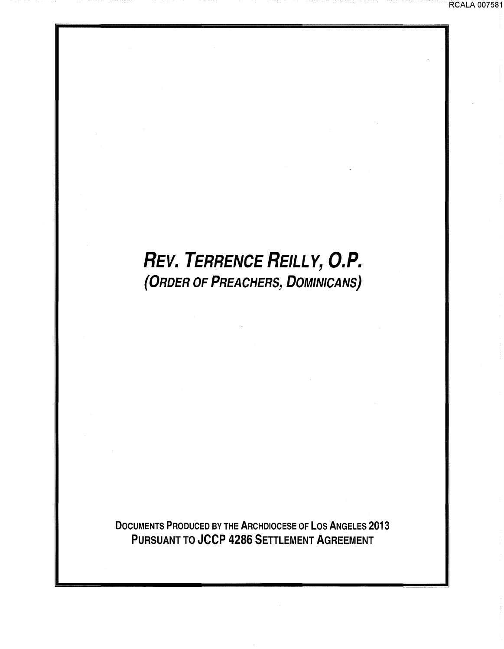## REV. TERRENCE REILLY, O.P. (ORDER OF PREACHERS, DOMINICANS)

DOCUMENTS PRODUCED BY THE ARCHDIOCESE OF LOS ANGELES 2013 PURSUANT TO JCCP 4286 SETTLEMENT AGREEMENT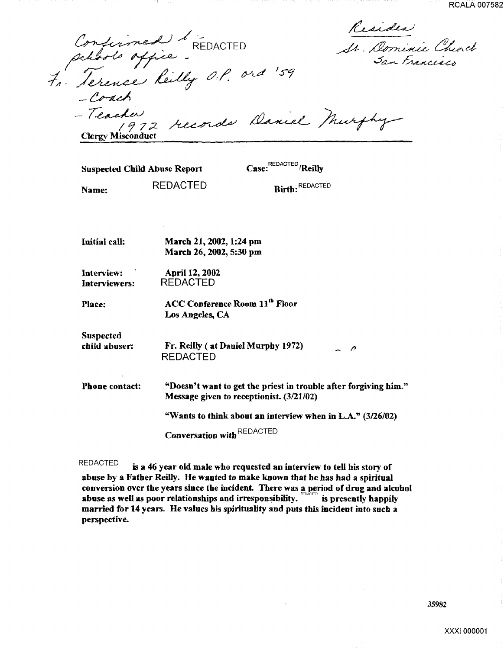RCALA 007582

Confirmed "REDACTED" At Dominic Church Confirmed & REDACTED<br>petrols office :<br>4. Serence Reilly O.P. ord

RCALAC San Trancesco

-Coach -Coach<br>- Teacher<br>- Teacher 1erence Reilly <sup>011</sup>.<br>- Coach<br>- Teacher 1972 records Daniel<br>Clergy Misconduct **Clergy** Misconduct

Suspected Child Abuse Report Case: <sup>REDACTED</sup> /Reilly

Name:

REDACTED

Birth: REDACTED

Initial call: March 21, 2002, 1:24 pm March 26, 2002, 5:30 pm

Interview: Interviewers: April 12, 2002 REDACTED

Place: ACC Conference Room 11<sup>th</sup> Floor Los Angeles, CA

Suspected child abuser.

Fr. Reilly (at Daniel Murphy 1972)  $\overline{\mathcal{L}}$ REDACTED

Phone contact: "Doesn't want to get the priest in trouble after forgiving him." Message given to receptionist. (3/21/02) "Wants to think about an interview when in  $L.A."$  (3/26/02)

Conversation with REDACTED

REDACTED is a 46 year old male who requested an interview to tell his story of abuse by a Father Reilly. He wanted to make known that he has had a spiritual conversion over the years since the incident. There was a period of drug and alcohol abuse as well as poor relationships and irresponsibility.  $\sum_{n=0}^{\infty}$  is presently happily married for 14 years. He values his spirituality and puts this incident into such a perspective.

35982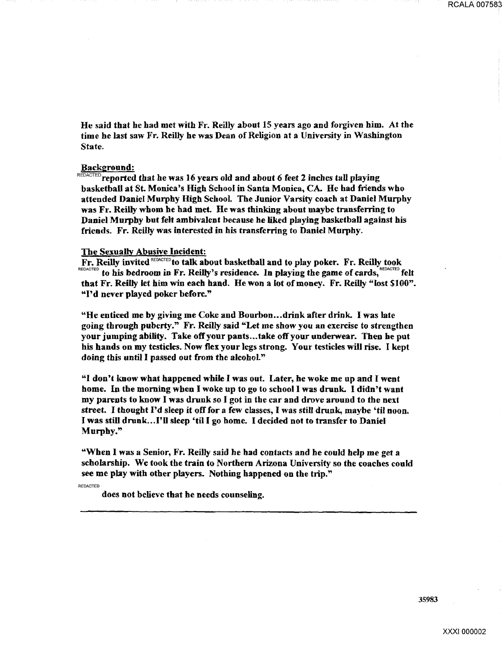He said that he had met with Fr. Reilly about 15 years ago and forgiven him. At the time he last saw Fr. Reilly he was Dean of Religion at a University in Washington State.

## Background:

 $REDACTED$  reported that he was 16 years old and about 6 feet 2 inches tall playing basketball at St. Monica's High School in Santa Monica, CA. He had friends who attended Daniel Murphy High School. The Junior Varsity coach at Daniel Murphy was Fr. Reilly whom he had met. He was thinking about maybe transferring to Daniel Murphy but felt ambivalent because he liked playing basketball against his friends. Fr. Reilly was interested in his transferring to Daniel Murphy.

## The Sexually Abusive Incident:

Fr. Reilly invited REDACTED to talk about basketball and to play poker. Fr. Reilly took REDACTED to his bedroom in Fr. Reilly's residence. In playing the game of cards, REDACTED felt that Fr. Reilly let him win each hand. He won a lot ofmoney. Fr. Reilly "lost \$100". "I'd never played poker before."

"He enticed me by giving me Coke and Bourbon .•. drink after drink. I was late going through puberty." Fr. Reilly said "Let me show you an exercise to strengthen your jumping ability. Take off your pants ... take off your underwear. Then he put his hands on my testicles. Now flex your legs strong. Your testicles will rise. I kept doing this until I passed out from the alcohol."

"I don't know what happened while I was out. Later, he woke me up and I went home. In the morning when I woke up to go to school I was drunk. I didn't want my parents to know I was drunk so I got in the car and drove around to the next street. I thought I'd sleep it off for a few classes, I was still drunk, maybe 'til noon. I was still dmnk. .. I'IJ sleep 'til I go home. I decided not to transfer to Daniel Murphy."

"When I was a Senior, Fr. Reilly said he bad contacts and he could help me get a scholarship. We took the train to Northern Arizona University so the coaches could see me play with other players. Nothing happened on the trip."

REDACTED

does not believe that be needs counseling.

35983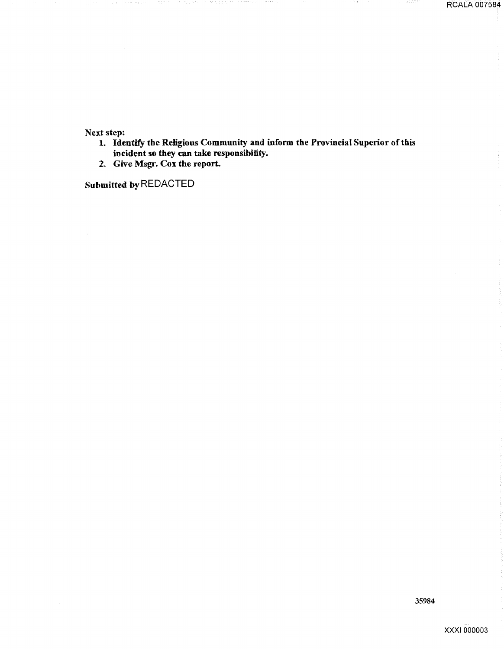RCALA 007584

Next step:

1. Identify the Religious Community and inform the Provincial Superior of this incident so they can take responsibility.

2. Give Msgr. Cox the report.

Submitted by REDACTED